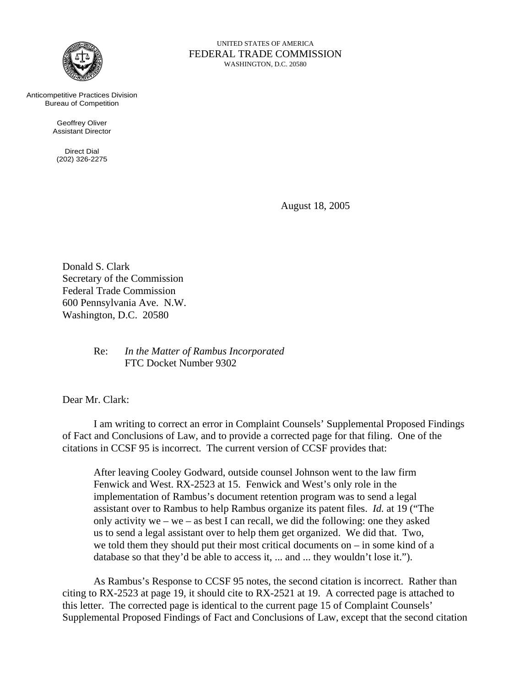

FEDERAL TRADE COMMISSION WASHINGTON, D.C. 20580

UNITED STATES OF AMERICA

Anticompetitive Practices Division Bureau of Competition

> Geoffrey Oliver Assistant Director

Direct Dial (202) 326-2275

August 18, 2005

Donald S. Clark Secretary of the Commission Federal Trade Commission 600 Pennsylvania Ave. N.W. Washington, D.C. 20580

> Re: *In the Matter of Rambus Incorporated* FTC Docket Number 9302

Dear Mr. Clark:

I am writing to correct an error in Complaint Counsels' Supplemental Proposed Findings of Fact and Conclusions of Law, and to provide a corrected page for that filing. One of the citations in CCSF 95 is incorrect. The current version of CCSF provides that:

After leaving Cooley Godward, outside counsel Johnson went to the law firm Fenwick and West. RX-2523 at 15. Fenwick and West's only role in the implementation of Rambus's document retention program was to send a legal assistant over to Rambus to help Rambus organize its patent files. *Id.* at 19 ("The only activity we – we – as best I can recall, we did the following: one they asked us to send a legal assistant over to help them get organized. We did that. Two, we told them they should put their most critical documents on – in some kind of a database so that they'd be able to access it, ... and ... they wouldn't lose it.").

As Rambus's Response to CCSF 95 notes, the second citation is incorrect. Rather than citing to RX-2523 at page 19, it should cite to RX-2521 at 19. A corrected page is attached to this letter. The corrected page is identical to the current page 15 of Complaint Counsels' Supplemental Proposed Findings of Fact and Conclusions of Law, except that the second citation